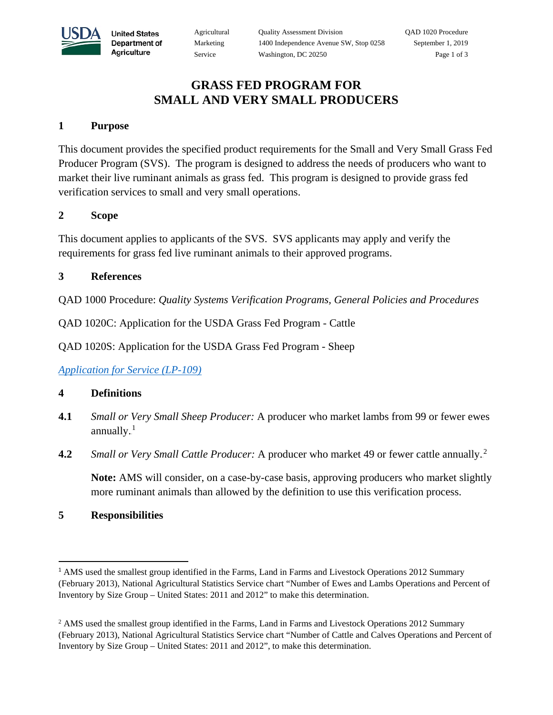

**United States** Department of Agriculture

### **GRASS FED PROGRAM FOR SMALL AND VERY SMALL PRODUCERS**

#### **1 Purpose**

This document provides the specified product requirements for the Small and Very Small Grass Fed Producer Program (SVS). The program is designed to address the needs of producers who want to market their live ruminant animals as grass fed. This program is designed to provide grass fed verification services to small and very small operations.

#### **2 Scope**

This document applies to applicants of the SVS. SVS applicants may apply and verify the requirements for grass fed live ruminant animals to their approved programs.

#### **3 References**

QAD 1000 Procedure: *Quality Systems Verification Programs, General Policies and Procedures*

QAD 1020C: Application for the USDA Grass Fed Program - Cattle

QAD 1020S: Application for the USDA Grass Fed Program - Sheep

*[Application for Service](https://www.ams.usda.gov/resources/lps109) (LP-109)*

#### **4 Definitions**

- **4.1** *Small or Very Small Sheep Producer:* A producer who market lambs from 99 or fewer ewes annually. $<sup>1</sup>$ </sup>
- **4.2** Small or Very Small Cattle Producer: A producer who market 49 or fewer cattle annually.<sup>2</sup>

**Note:** AMS will consider, on a case-by-case basis, approving producers who market slightly more ruminant animals than allowed by the definition to use this verification process.

### **5 Responsibilities**

l

<sup>&</sup>lt;sup>1</sup> AMS used the smallest group identified in the Farms, Land in Farms and Livestock Operations 2012 Summary (February 2013), National Agricultural Statistics Service chart "Number of Ewes and Lambs Operations and Percent of Inventory by Size Group – United States: 2011 and 2012" to make this determination.

<sup>&</sup>lt;sup>2</sup> AMS used the smallest group identified in the Farms, Land in Farms and Livestock Operations 2012 Summary (February 2013), National Agricultural Statistics Service chart "Number of Cattle and Calves Operations and Percent of Inventory by Size Group – United States: 2011 and 2012", to make this determination.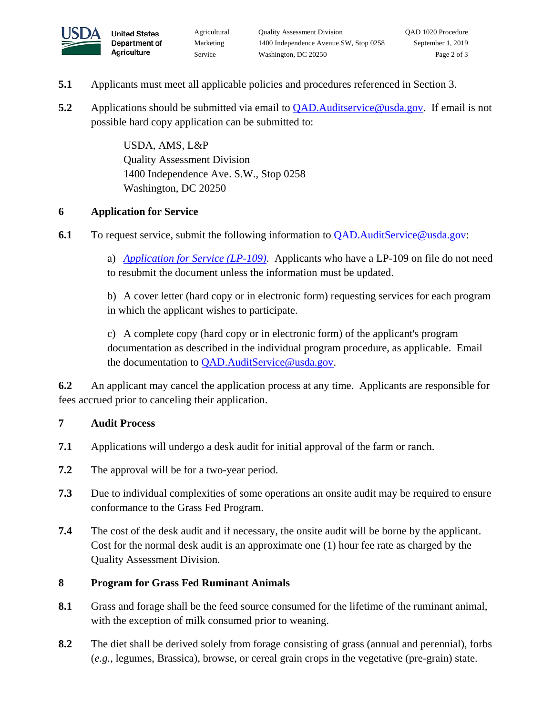

**United States** Department of Agriculture

- **5.1** Applicants must meet all applicable policies and procedures referenced in Section 3.
- **5.2** Applications should be submitted via email to QAD. Auditservice @usda.gov. If email is not possible hard copy application can be submitted to:

USDA, AMS, L&P Quality Assessment Division 1400 Independence Ave. S.W., Stop 0258 Washington, DC 20250

# **6 Application for Service**

**6.1** To request service, submit the following information to [QAD.AuditService@usda.gov:](mailto:QAD.AuditService@usda.gov)

a) *[Application for Service](http://www.ams.usda.gov/sites/default/files/media/LPS-109.pdf) (LP-109)*. Applicants who have a LP-109 on file do not need to resubmit the document unless the information must be updated.

b) A cover letter (hard copy or in electronic form) requesting services for each program in which the applicant wishes to participate.

c) A complete copy (hard copy or in electronic form) of the applicant's program documentation as described in the individual program procedure, as applicable. Email the documentation to [QAD.AuditService@usda.gov.](mailto:QAD.AuditService@usda.gov)

**6.2** An applicant may cancel the application process at any time. Applicants are responsible for fees accrued prior to canceling their application.

## **7 Audit Process**

- **7.1** Applications will undergo a desk audit for initial approval of the farm or ranch.
- **7.2** The approval will be for a two-year period.
- **7.3** Due to individual complexities of some operations an onsite audit may be required to ensure conformance to the Grass Fed Program.
- **7.4** The cost of the desk audit and if necessary, the onsite audit will be borne by the applicant. Cost for the normal desk audit is an approximate one (1) hour fee rate as charged by the Quality Assessment Division.

## **8 Program for Grass Fed Ruminant Animals**

- **8.1** Grass and forage shall be the feed source consumed for the lifetime of the ruminant animal, with the exception of milk consumed prior to weaning.
- **8.2** The diet shall be derived solely from forage consisting of grass (annual and perennial), forbs (*e.g.*, legumes, Brassica), browse, or cereal grain crops in the vegetative (pre-grain) state.